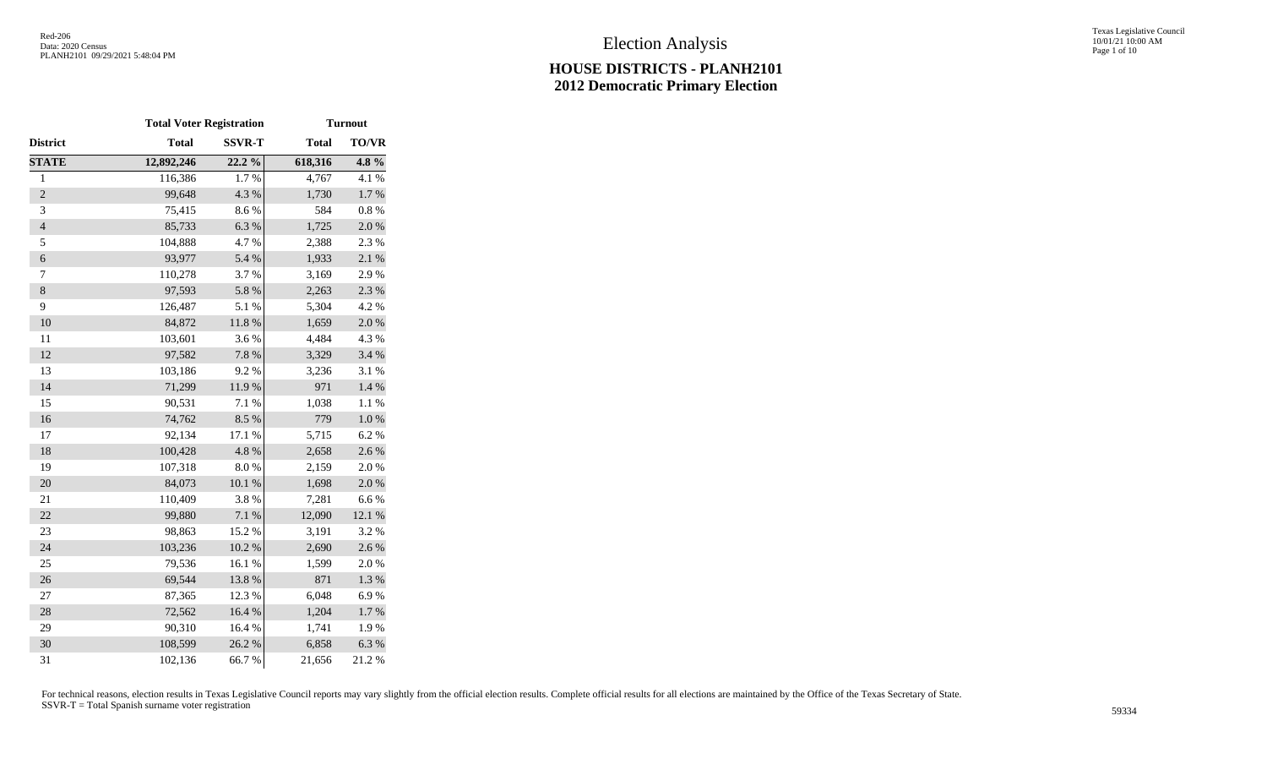Texas Legislative Council 10/01/21 10:00 AM Page 1 of 10

|                | <b>Total Voter Registration</b> |               | <b>Turnout</b> |              |  |  |  |  |
|----------------|---------------------------------|---------------|----------------|--------------|--|--|--|--|
| District       | <b>Total</b>                    | <b>SSVR-T</b> | <b>Total</b>   | <b>TO/VR</b> |  |  |  |  |
| <b>STATE</b>   | 12,892,246                      | 22.2 %        | 618,316        | 4.8%         |  |  |  |  |
| $\,1$          | 116,386                         | 1.7%          | 4,767          | 4.1 %        |  |  |  |  |
| $\overline{c}$ | 99,648                          | 4.3 %         | 1,730          | $1.7~\%$     |  |  |  |  |
| 3              | 75,415                          | 8.6%          | 584            | 0.8%         |  |  |  |  |
| $\overline{4}$ | 85,733                          | 6.3%          | 1,725          | 2.0%         |  |  |  |  |
| 5              | 104,888                         | 4.7%          | 2,388          | 2.3 %        |  |  |  |  |
| 6              | 93,977                          | 5.4 %         | 1,933          | 2.1 %        |  |  |  |  |
| 7              | 110,278                         | 3.7%          | 3,169          | 2.9%         |  |  |  |  |
| $\,8$          | 97,593                          | 5.8 %         | 2,263          | 2.3 %        |  |  |  |  |
| 9              | 126,487                         | 5.1 %         | 5,304          | 4.2 %        |  |  |  |  |
| 10             | 84,872                          | 11.8 %        | 1,659          | 2.0%         |  |  |  |  |
| 11             | 103,601                         | 3.6%          | 4,484          | 4.3 %        |  |  |  |  |
| 12             | 97,582                          | 7.8 %         | 3,329          | 3.4 %        |  |  |  |  |
| 13             | 103,186                         | 9.2%          | 3,236          | 3.1 %        |  |  |  |  |
| 14             | 71,299                          | 11.9%         | 971            | 1.4 %        |  |  |  |  |
| 15             | 90,531                          | 7.1 %         | 1,038          | 1.1 %        |  |  |  |  |
| 16             | 74,762                          | 8.5 %         | 779            | $1.0\ \%$    |  |  |  |  |
| 17             | 92,134                          | 17.1 %        | 5,715          | 6.2%         |  |  |  |  |
| 18             | 100,428                         | 4.8%          | 2,658          | 2.6 %        |  |  |  |  |
| 19             | 107,318                         | $8.0\ \%$     | 2,159          | 2.0%         |  |  |  |  |
| 20             | 84,073                          | $10.1~\%$     | 1,698          | 2.0%         |  |  |  |  |
| 21             | 110,409                         | 3.8 %         | 7,281          | 6.6%         |  |  |  |  |
| 22             | 99,880                          | $7.1~\%$      | 12,090         | 12.1 %       |  |  |  |  |
| 23             | 98,863                          | 15.2 %        | 3,191          | 3.2 %        |  |  |  |  |
| 24             | 103,236                         | $10.2~\%$     | 2,690          | 2.6 %        |  |  |  |  |
| 25             | 79,536                          | 16.1%         | 1,599          | 2.0%         |  |  |  |  |
| 26             | 69,544                          | 13.8 %        | 871            | $1.3~\%$     |  |  |  |  |
| 27             | 87,365                          | 12.3 %        | 6,048          | 6.9%         |  |  |  |  |
| 28             | 72,562                          | 16.4 %        | 1,204          | $1.7~\%$     |  |  |  |  |
| 29             | 90,310                          | 16.4 %        | 1,741          | 1.9%         |  |  |  |  |
| 30             | 108,599                         | 26.2%         | 6,858          | 6.3%         |  |  |  |  |
| 31             | 102,136                         | 66.7%         | 21,656         | 21.2%        |  |  |  |  |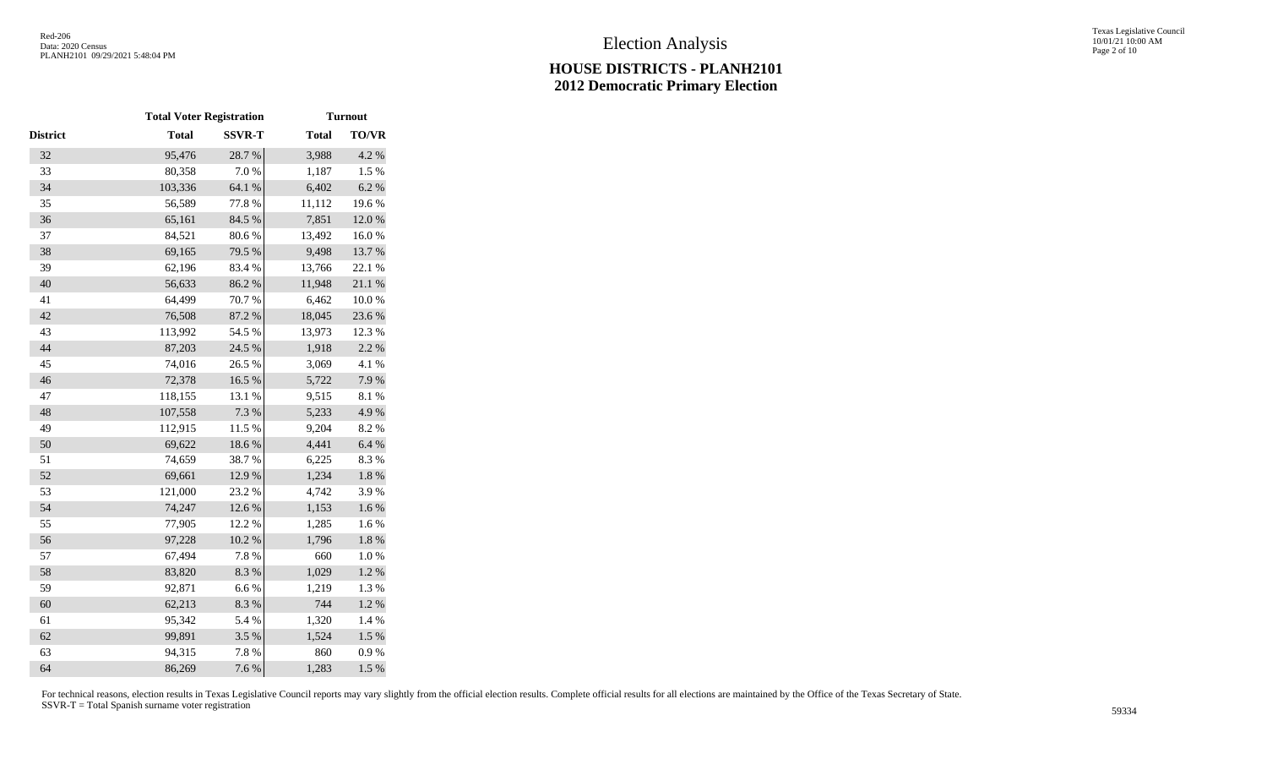|                 | <b>Total Voter Registration</b> |               | <b>Turnout</b> |                  |  |  |  |  |
|-----------------|---------------------------------|---------------|----------------|------------------|--|--|--|--|
| <b>District</b> | <b>Total</b>                    | <b>SSVR-T</b> | <b>Total</b>   | <b>TO/VR</b>     |  |  |  |  |
| 32              | 95,476                          | 28.7%         | 3,988          | 4.2 %            |  |  |  |  |
| 33              | 80,358                          | 7.0%          | 1,187          | 1.5 %            |  |  |  |  |
| 34              | 103,336                         | 64.1 %        | 6,402          | 6.2 %            |  |  |  |  |
| 35              | 56,589                          | 77.8%         | 11,112         | 19.6%            |  |  |  |  |
| 36              | 65,161                          | 84.5 %        | 7,851          | 12.0%            |  |  |  |  |
| 37              | 84,521                          | 80.6%         | 13,492         | 16.0%            |  |  |  |  |
| 38              | 69,165                          | 79.5 %        | 9,498          | 13.7%            |  |  |  |  |
| 39              | 62,196                          | 83.4%         | 13,766         | 22.1 %           |  |  |  |  |
| 40              | 56,633                          | 86.2%         | 11,948         | $21.1\text{ }\%$ |  |  |  |  |
| 41              | 64,499                          | 70.7%         | 6,462          | 10.0%            |  |  |  |  |
| 42              | 76,508                          | 87.2 %        | 18,045         | 23.6%            |  |  |  |  |
| 43              | 113,992                         | 54.5 %        | 13,973         | 12.3 %           |  |  |  |  |
| 44              | 87,203                          | 24.5 %        | 1,918          | 2.2 %            |  |  |  |  |
| 45              | 74,016                          | 26.5 %        | 3,069          | 4.1 %            |  |  |  |  |
| 46              | 72,378                          | 16.5 %        | 5,722          | 7.9%             |  |  |  |  |
| 47              | 118,155                         | 13.1 %        | 9,515          | 8.1%             |  |  |  |  |
| 48              | 107,558                         | 7.3 %         | 5,233          | 4.9%             |  |  |  |  |
| 49              | 112,915                         | 11.5 %        | 9,204          | 8.2%             |  |  |  |  |
| 50              | 69,622                          | 18.6%         | 4,441          | 6.4%             |  |  |  |  |
| 51              | 74,659                          | 38.7%         | 6,225          | 8.3%             |  |  |  |  |
| 52              | 69,661                          | 12.9%         | 1,234          | $1.8~\%$         |  |  |  |  |
| 53              | 121,000                         | 23.2 %        | 4,742          | 3.9%             |  |  |  |  |
| 54              | 74,247                          | 12.6 %        | 1,153          | 1.6 %            |  |  |  |  |
| 55              | 77,905                          | 12.2 %        | 1,285          | 1.6 %            |  |  |  |  |
| 56              | 97,228                          | $10.2~\%$     | 1,796          | $1.8~\%$         |  |  |  |  |
| 57              | 67,494                          | 7.8 %         | 660            | $1.0\ \%$        |  |  |  |  |
| 58              | 83,820                          | 8.3 %         | 1,029          | $1.2~\%$         |  |  |  |  |
| 59              | 92,871                          | 6.6%          | 1,219          | 1.3 %            |  |  |  |  |
| 60              | 62,213                          | 8.3 %         | 744            | 1.2%             |  |  |  |  |
| 61              | 95,342                          | 5.4 %         | 1,320          | 1.4 %            |  |  |  |  |
| 62              | 99,891                          | 3.5 %         | 1,524          | $1.5\%$          |  |  |  |  |
| 63              | 94,315                          | 7.8 %         | 860            | $0.9\ \%$        |  |  |  |  |
| 64              | 86,269                          | 7.6 %         | 1,283          | 1.5 %            |  |  |  |  |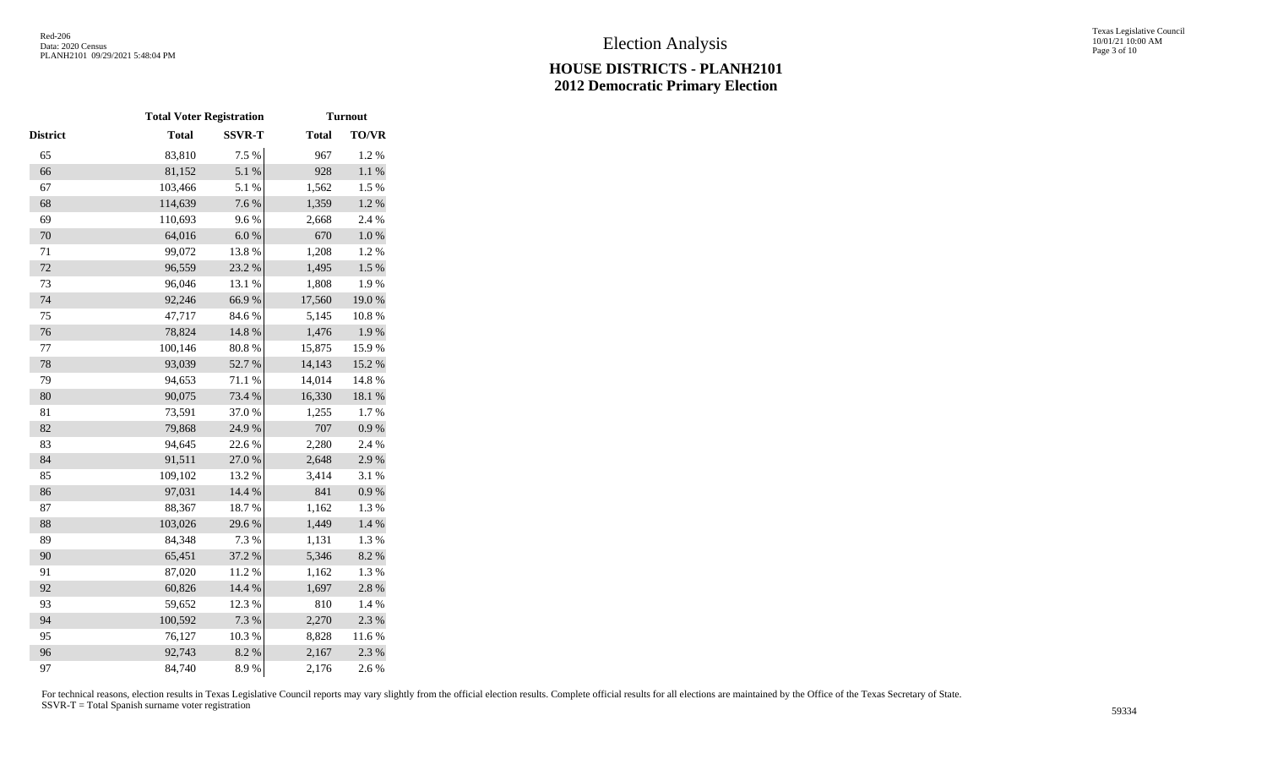|          | <b>Total Voter Registration</b> |               |              | <b>Turnout</b> |
|----------|---------------------------------|---------------|--------------|----------------|
| District | <b>Total</b>                    | <b>SSVR-T</b> | <b>Total</b> | <b>TO/VR</b>   |
| 65       | 83,810                          | 7.5 %         | 967          | 1.2%           |
| 66       | 81,152                          | 5.1 %         | 928          | $1.1~\%$       |
| 67       | 103,466                         | 5.1 %         | 1,562        | 1.5 %          |
| 68       | 114,639                         | 7.6 %         | 1,359        | $1.2~\%$       |
| 69       | 110,693                         | 9.6%          | 2,668        | 2.4 %          |
| 70       | 64,016                          | 6.0 %         | 670          | $1.0\ \%$      |
| $71\,$   | 99,072                          | 13.8%         | 1,208        | 1.2%           |
| 72       | 96,559                          | 23.2 %        | 1,495        | $1.5\%$        |
| 73       | 96,046                          | 13.1 %        | 1,808        | 1.9%           |
| 74       | 92,246                          | 66.9%         | 17,560       | 19.0%          |
| 75       | 47,717                          | 84.6%         | 5,145        | 10.8 %         |
| 76       | 78,824                          | 14.8 %        | 1,476        | 1.9%           |
| 77       | 100,146                         | 80.8 %        | 15,875       | 15.9%          |
| 78       | 93,039                          | 52.7%         | 14,143       | 15.2 %         |
| 79       | 94,653                          | 71.1 %        | 14,014       | 14.8 %         |
| 80       | 90,075                          | 73.4 %        | 16,330       | $18.1\ \%$     |
| 81       | 73,591                          | 37.0%         | 1,255        | 1.7%           |
| 82       | 79,868                          | 24.9%         | 707          | $0.9\ \%$      |
| 83       | 94,645                          | 22.6%         | 2,280        | 2.4 %          |
| 84       | 91,511                          | 27.0%         | 2,648        | 2.9%           |
| 85       | 109,102                         | 13.2 %        | 3,414        | 3.1 %          |
| 86       | 97,031                          | 14.4 %        | 841          | 0.9 %          |
| 87       | 88,367                          | 18.7%         | 1,162        | 1.3%           |
| 88       | 103,026                         | 29.6%         | 1,449        | 1.4 %          |
| 89       | 84,348                          | 7.3 %         | 1,131        | 1.3 %          |
| 90       | 65,451                          | 37.2 %        | 5,346        | 8.2%           |
| 91       | 87,020                          | 11.2%         | 1,162        | 1.3%           |
| 92       | 60,826                          | 14.4 %        | 1,697        | 2.8%           |
| 93       | 59,652                          | 12.3 %        | 810          | 1.4 %          |
| 94       | 100,592                         | 7.3 %         | 2,270        | 2.3 %          |
| 95       | 76,127                          | 10.3%         | 8,828        | 11.6 %         |
| 96       | 92,743                          | 8.2 %         | 2,167        | 2.3 %          |
| 97       | 84,740                          | 8.9%          | 2,176        | 2.6%           |
|          |                                 |               |              |                |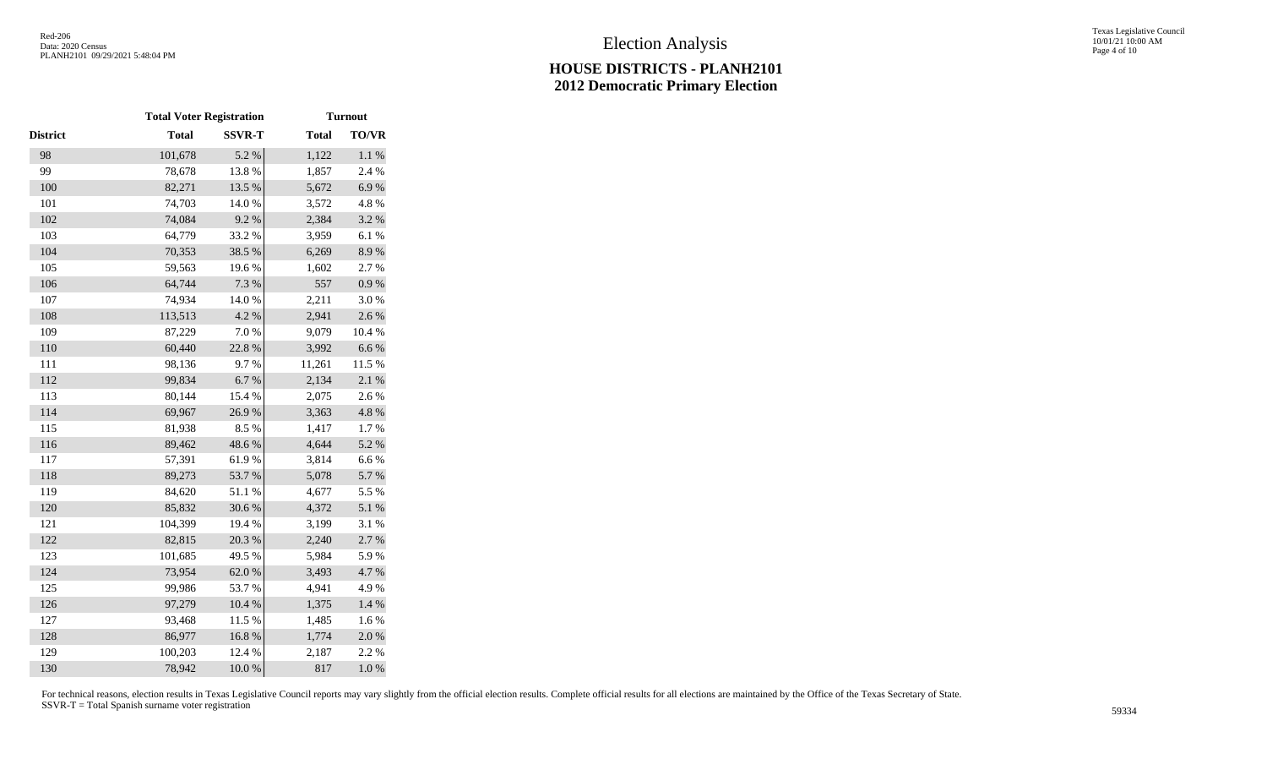|                 | <b>Total Voter Registration</b> |               |              | <b>Turnout</b> |
|-----------------|---------------------------------|---------------|--------------|----------------|
| <b>District</b> | <b>Total</b>                    | <b>SSVR-T</b> | <b>Total</b> | <b>TO/VR</b>   |
| 98              | 101,678                         | 5.2 %         | 1,122        | $1.1~\%$       |
| 99              | 78,678                          | 13.8%         | 1,857        | 2.4 %          |
| 100             | 82,271                          | 13.5 %        | 5,672        | 6.9%           |
| 101             | 74,703                          | 14.0 %        | 3,572        | 4.8 %          |
| 102             | 74,084                          | 9.2%          | 2,384        | 3.2 %          |
| 103             | 64,779                          | 33.2 %        | 3,959        | 6.1%           |
| 104             | 70,353                          | 38.5 %        | 6,269        | 8.9%           |
| 105             | 59,563                          | 19.6%         | 1,602        | 2.7%           |
| 106             | 64,744                          | 7.3 %         | 557          | $0.9\ \%$      |
| 107             | 74,934                          | $14.0\ \%$    | 2,211        | 3.0%           |
| 108             | 113,513                         | 4.2 %         | 2,941        | 2.6%           |
| 109             | 87,229                          | 7.0 %         | 9,079        | 10.4 %         |
| 110             | 60,440                          | 22.8 %        | 3,992        | $6.6\ \%$      |
| 111             | 98,136                          | 9.7%          | 11,261       | 11.5 %         |
| 112             | 99,834                          | $6.7~\%$      | 2,134        | 2.1%           |
| 113             | 80,144                          | 15.4 %        | 2,075        | 2.6 %          |
| 114             | 69,967                          | 26.9%         | 3,363        | 4.8 %          |
| 115             | 81,938                          | 8.5%          | 1,417        | 1.7%           |
| 116             | 89,462                          | 48.6%         | 4,644        | 5.2 %          |
| 117             | 57,391                          | 61.9%         | 3,814        | 6.6%           |
| 118             | 89,273                          | 53.7%         | 5,078        | 5.7 %          |
| 119             | 84,620                          | 51.1 %        | 4,677        | 5.5 %          |
| 120             | 85,832                          | 30.6%         | 4,372        | 5.1 %          |
| 121             | 104,399                         | 19.4 %        | 3,199        | 3.1 %          |
| 122             | 82,815                          | 20.3 %        | 2,240        | 2.7%           |
| 123             | 101,685                         | 49.5 %        | 5,984        | 5.9%           |
| 124             | 73,954                          | 62.0%         | 3,493        | 4.7 %          |
| 125             | 99,986                          | 53.7%         | 4,941        | 4.9%           |
| 126             | 97,279                          | $10.4~\%$     | 1,375        | 1.4 %          |
| 127             | 93,468                          | 11.5 %        | 1,485        | 1.6 %          |
| 128             | 86,977                          | 16.8%         | 1,774        | 2.0%           |
| 129             | 100,203                         | 12.4 %        | 2,187        | 2.2 %          |
| 130             | 78,942                          | 10.0%         | 817          | $1.0\ \%$      |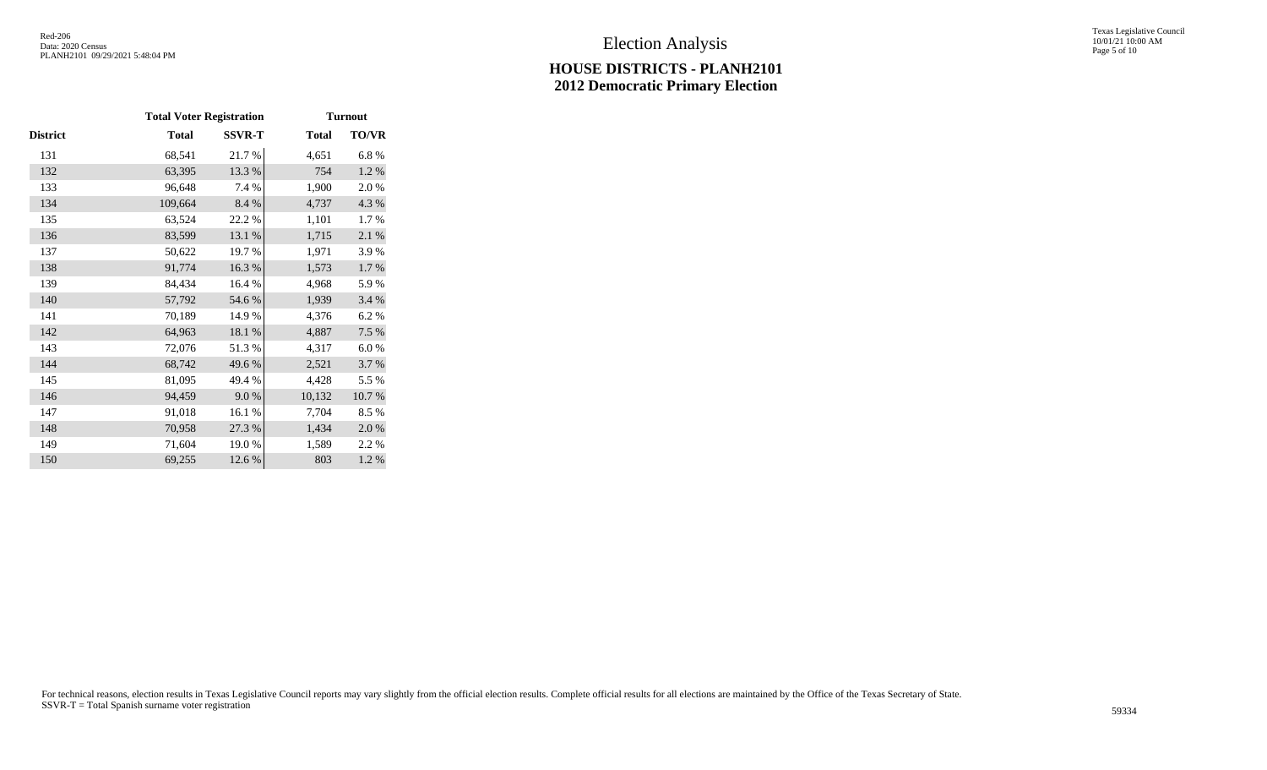Texas Legislative Council 10/01/21 10:00 AM Page 5 of 10

|          |         | <b>Total Voter Registration</b> | <b>Turnout</b> |       |  |  |  |  |  |
|----------|---------|---------------------------------|----------------|-------|--|--|--|--|--|
| District | Total   | <b>SSVR-T</b>                   | <b>Total</b>   | TO/VR |  |  |  |  |  |
| 131      | 68,541  | 21.7%                           | 4,651          | 6.8%  |  |  |  |  |  |
| 132      | 63,395  | 13.3 %                          | 754            | 1.2 % |  |  |  |  |  |
| 133      | 96,648  | 7.4 %                           | 1,900          | 2.0%  |  |  |  |  |  |
| 134      | 109,664 | 8.4 %                           | 4,737          | 4.3 % |  |  |  |  |  |
| 135      | 63,524  | 22.2 %                          | 1,101          | 1.7%  |  |  |  |  |  |
| 136      | 83,599  | 13.1 %                          | 1,715          | 2.1 % |  |  |  |  |  |
| 137      | 50,622  | 19.7%                           | 1,971          | 3.9%  |  |  |  |  |  |
| 138      | 91,774  | 16.3%                           | 1,573          | 1.7 % |  |  |  |  |  |
| 139      | 84,434  | 16.4 %                          | 4,968          | 5.9%  |  |  |  |  |  |
| 140      | 57,792  | 54.6 %                          | 1,939          | 3.4 % |  |  |  |  |  |
| 141      | 70,189  | 14.9%                           | 4,376          | 6.2%  |  |  |  |  |  |
| 142      | 64,963  | 18.1 %                          | 4,887          | 7.5 % |  |  |  |  |  |
| 143      | 72,076  | 51.3%                           | 4,317          | 6.0%  |  |  |  |  |  |
| 144      | 68,742  | 49.6%                           | 2,521          | 3.7 % |  |  |  |  |  |
| 145      | 81,095  | 49.4 %                          | 4,428          | 5.5 % |  |  |  |  |  |
| 146      | 94,459  | 9.0%                            | 10,132         | 10.7% |  |  |  |  |  |
| 147      | 91,018  | 16.1%                           | 7,704          | 8.5%  |  |  |  |  |  |
| 148      | 70,958  | 27.3 %                          | 1,434          | 2.0%  |  |  |  |  |  |
| 149      | 71,604  | 19.0%                           | 1,589          | 2.2 % |  |  |  |  |  |
| 150      | 69,255  | 12.6 %                          | 803            | 1.2%  |  |  |  |  |  |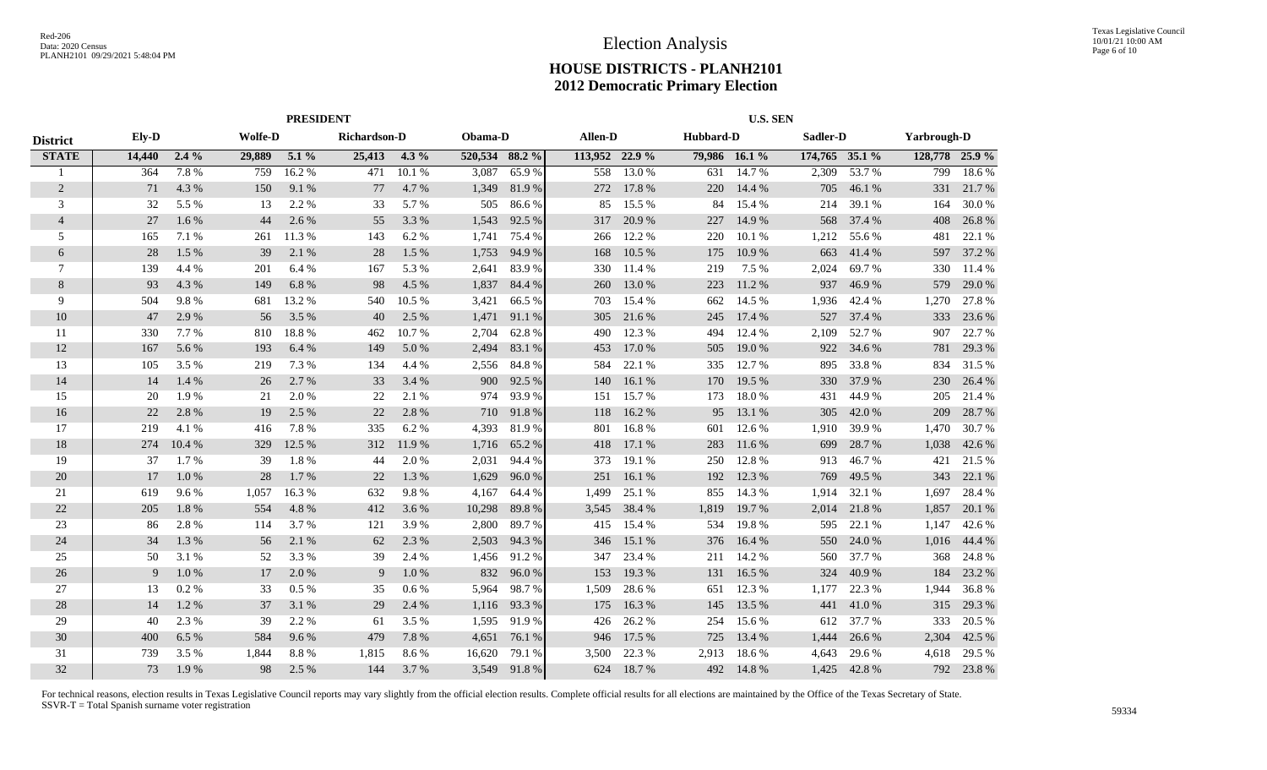|                 |        | <b>PRESIDENT</b> |                |          |              |         |                |             |                | <b>U.S. SEN</b> |           |               |                |        |                    |        |  |
|-----------------|--------|------------------|----------------|----------|--------------|---------|----------------|-------------|----------------|-----------------|-----------|---------------|----------------|--------|--------------------|--------|--|
| <b>District</b> | Ely-D  |                  | <b>Wolfe-D</b> |          | Richardson-D |         | Obama-D        |             | Allen-D        |                 | Hubbard-D |               | Sadler-D       |        | <b>Yarbrough-D</b> |        |  |
| <b>STATE</b>    | 14,440 | $2.4\%$          | 29,889         | $5.1\%$  | 25,413       | $4.3\%$ | 520,534 88.2 % |             | 113,952 22.9 % |                 |           | 79,986 16.1 % | 174,765 35.1 % |        | 128,778 25.9 %     |        |  |
| -1              | 364    | 7.8%             | 759            | 16.2%    | 471          | 10.1%   | 3,087          | 65.9%       | 558            | 13.0 %          | 631       | 14.7 %        | 2,309          | 53.7%  | 799                | 18.6%  |  |
| $\overline{c}$  | 71     | 4.3 %            | 150            | 9.1 %    | 77           | 4.7 %   | 1,349          | 81.9%       | 272            | 17.8%           | 220       | 14.4 %        | 705            | 46.1%  | 331                | 21.7 % |  |
| 3               | 32     | 5.5 %            | 13             | 2.2 %    | 33           | 5.7 %   | 505            | 86.6%       | 85             | 15.5 %          | 84        | 15.4 %        | 214            | 39.1 % | 164                | 30.0%  |  |
| $\overline{4}$  | 27     | 1.6%             | 44             | 2.6%     | 55           | 3.3 %   | 1,543          | 92.5 %      | 317            | 20.9%           | 227       | 14.9%         | 568            | 37.4 % | 408                | 26.8%  |  |
| 5               | 165    | 7.1 %            | 261            | 11.3 %   | 143          | 6.2%    | 1,741          | 75.4 %      | 266            | 12.2 %          | 220       | 10.1 %        | 1,212          | 55.6%  | 481                | 22.1 % |  |
| 6               | 28     | 1.5 %            | 39             | 2.1 %    | 28           | 1.5 %   | 1,753          | 94.9 %      | 168            | 10.5 %          | 175       | 10.9%         | 663            | 41.4 % | 597                | 37.2 % |  |
| 7               | 139    | 4.4 %            | 201            | 6.4 %    | 167          | 5.3 %   | 2,641          | 83.9%       | 330            | 11.4 %          | 219       | 7.5 %         | 2,024          | 69.7 % | 330                | 11.4 % |  |
| $\,8$           | 93     | 4.3 %            | 149            | 6.8%     | 98           | 4.5 %   | 1,837          | 84.4 %      | 260            | 13.0 %          | 223       | 11.2 %        | 937            | 46.9%  | 579                | 29.0%  |  |
| 9               | 504    | 9.8%             | 681            | 13.2 %   | 540          | 10.5 %  | 3,421          | 66.5 %      | 703            | 15.4 %          | 662       | 14.5 %        | 1,936          | 42.4 % | 1,270              | 27.8%  |  |
| 10              | 47     | 2.9 %            | 56             | 3.5 %    | 40           | 2.5 %   | 1,471          | 91.1 %      | 305            | 21.6 %          | 245       | 17.4 %        | 527            | 37.4 % | 333                | 23.6 % |  |
| 11              | 330    | 7.7 %            | 810            | 18.8%    | 462          | 10.7 %  | 2,704          | 62.8%       | 490            | 12.3 %          | 494       | 12.4 %        | 2,109          | 52.7%  | 907                | 22.7 % |  |
| 12              | 167    | 5.6 %            | 193            | 6.4 %    | 149          | 5.0%    | 2,494          | 83.1 %      | 453            | 17.0 %          | 505       | 19.0%         | 922            | 34.6 % | 781                | 29.3 % |  |
| 13              | 105    | 3.5 %            | 219            | 7.3 %    | 134          | 4.4 %   | 2,556          | 84.8%       | 584            | 22.1 %          | 335       | 12.7 %        | 895            | 33.8%  | 834                | 31.5 % |  |
| 14              | 14     | 1.4 %            | 26             | 2.7 %    | 33           | 3.4 %   | 900            | 92.5 %      | 140            | 16.1 %          | 170       | 19.5 %        | 330            | 37.9 % | 230                | 26.4 % |  |
| 15              | 20     | 1.9%             | 21             | 2.0 %    | 22           | 2.1 %   | 974            | 93.9%       | 151            | 15.7 %          | 173       | 18.0%         | 431            | 44.9%  | 205                | 21.4 % |  |
| 16              | 22     | 2.8%             | 19             | 2.5 %    | 22           | 2.8%    | 710            | 91.8%       | 118            | 16.2%           | 95        | 13.1 %        | 305            | 42.0%  | 209                | 28.7%  |  |
| 17              | 219    | 4.1 %            | 416            | 7.8%     | 335          | 6.2 %   | 4,393          | 81.9%       | 801            | 16.8%           | 601       | 12.6 %        | 1,910          | 39.9%  | 1,470              | 30.7%  |  |
| 18              | 274    | 10.4 %           | 329            | 12.5 %   | 312          | 11.9 %  | 1,716          | 65.2 %      | 418            | 17.1 %          | 283       | 11.6 %        | 699            | 28.7%  | 1,038              | 42.6 % |  |
| 19              | 37     | 1.7%             | 39             | 1.8%     | 44           | 2.0 %   | 2,031          | 94.4 %      | 373            | 19.1 %          | 250       | 12.8%         | 913            | 46.7%  | 421                | 21.5 % |  |
| 20              | 17     | 1.0%             | 28             | 1.7%     | 22           | 1.3%    | 1,629          | 96.0%       | 251            | 16.1 %          | 192       | 12.3 %        | 769            | 49.5 % | 343                | 22.1 % |  |
| 21              | 619    | 9.6%             | 1,057          | 16.3%    | 632          | 9.8%    | 4,167          | 64.4 %      | 1,499          | 25.1 %          | 855       | 14.3 %        | 1,914          | 32.1 % | 1,697              | 28.4 % |  |
| $22\,$          | 205    | 1.8%             | 554            | 4.8 %    | 412          | 3.6 %   | 10,298         | 89.8%       | 3,545          | 38.4 %          | 1,819     | 19.7 %        | 2,014          | 21.8%  | 1,857              | 20.1 % |  |
| 23              | 86     | 2.8%             | 114            | 3.7%     | 121          | 3.9%    | 2,800          | 89.7%       | 415            | 15.4 %          | 534       | 19.8%         | 595            | 22.1 % | 1,147              | 42.6 % |  |
| 24              | 34     | 1.3%             | 56             | 2.1 %    | 62           | 2.3 %   | 2,503          | 94.3%       | 346            | 15.1 %          | 376       | 16.4 %        | 550            | 24.0 % | 1,016              | 44.4 % |  |
| 25              | 50     | 3.1 %            | 52             | 3.3 %    | 39           | 2.4 %   | 1,456          | 91.2%       | 347            | 23.4 %          | 211       | 14.2 %        | 560            | 37.7 % | 368                | 24.8%  |  |
| 26              | 9      | 1.0%             | 17             | 2.0%     | 9            | $1.0\%$ | 832            | 96.0%       | 153            | 19.3 %          | 131       | 16.5 %        | 324            | 40.9%  | 184                | 23.2 % |  |
| 27              | 13     | 0.2 %            | 33             | $0.5 \%$ | 35           | $0.6\%$ | 5,964          | 98.7%       | 1,509          | 28.6%           | 651       | 12.3 %        | 1,177          | 22.3 % | 1,944              | 36.8%  |  |
| 28              | 14     | 1.2%             | 37             | 3.1 %    | 29           | 2.4 %   | 1,116          | 93.3 %      | 175            | 16.3%           | 145       | 13.5 %        | 441            | 41.0%  | 315                | 29.3 % |  |
| 29              | 40     | 2.3 %            | 39             | 2.2 %    | 61           | 3.5 %   | 1,595          | 91.9%       | 426            | 26.2%           | 254       | 15.6 %        | 612            | 37.7 % | 333                | 20.5 % |  |
| $30\,$          | 400    | 6.5%             | 584            | 9.6%     | 479          | 7.8 %   | 4,651          | 76.1 %      | 946            | 17.5 %          | 725       | 13.4 %        | 1,444          | 26.6 % | 2,304              | 42.5 % |  |
| 31              | 739    | 3.5 %            | 1,844          | 8.8%     | 1,815        | 8.6 %   | 16,620         | 79.1 %      | 3,500          | 22.3 %          | 2,913     | 18.6%         | 4,643          | 29.6 % | 4,618              | 29.5 % |  |
| 32              | 73     | 1.9%             | 98             | 2.5 %    | 144          | 3.7 %   |                | 3,549 91.8% | 624            | 18.7%           | 492       | 14.8%         | 1,425          | 42.8%  | 792                | 23.8%  |  |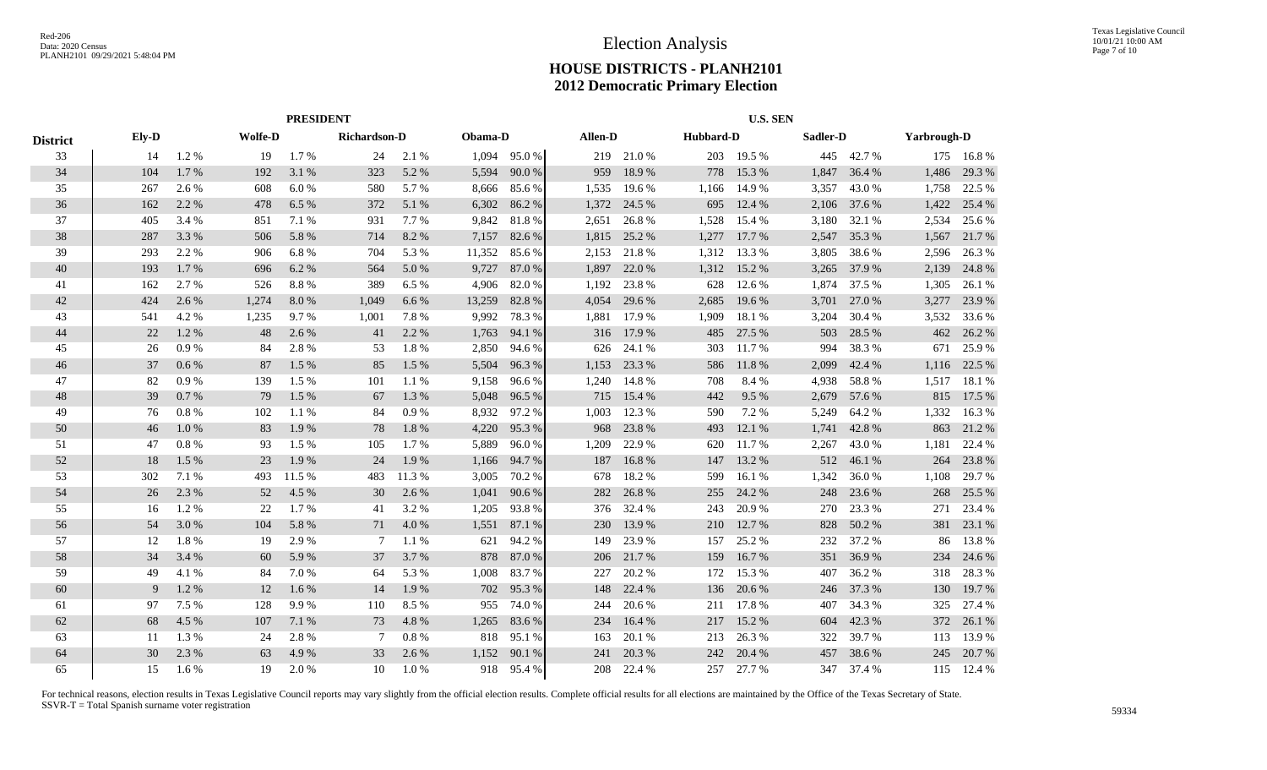|                 | <b>PRESIDENT</b> |       |                |        |              |       |         |        | <b>U.S. SEN</b> |         |       |           |          |        |                    |            |
|-----------------|------------------|-------|----------------|--------|--------------|-------|---------|--------|-----------------|---------|-------|-----------|----------|--------|--------------------|------------|
| <b>District</b> | Ely-D            |       | <b>Wolfe-D</b> |        | Richardson-D |       | Obama-D |        |                 | Allen-D |       | Hubbard-D | Sadler-D |        | <b>Yarbrough-D</b> |            |
| 33              | 14               | 1.2%  | 19             | 1.7 %  | 24           | 2.1 % | 1,094   | 95.0%  | 219             | 21.0%   | 203   | 19.5 %    | 445      | 42.7 % |                    | 175 16.8 % |
| 34              | 104              | 1.7 % | 192            | 3.1 %  | 323          | 5.2 % | 5,594   | 90.0%  | 959             | 18.9 %  | 778   | 15.3 %    | 1,847    | 36.4 % | 1,486              | 29.3 %     |
| 35              | 267              | 2.6 % | 608            | 6.0%   | 580          | 5.7 % | 8,666   | 85.6%  | 1,535           | 19.6 %  | 1,166 | 14.9 %    | 3,357    | 43.0 % | 1,758              | 22.5 %     |
| 36              | 162              | 2.2 % | 478            | 6.5 %  | 372          | 5.1 % | 6,302   | 86.2%  | 1,372           | 24.5 %  | 695   | 12.4 %    | 2,106    | 37.6 % | 1,422              | 25.4 %     |
| 37              | 405              | 3.4 % | 851            | 7.1 %  | 931          | 7.7 % | 9,842   | 81.8%  | 2,651           | 26.8%   | 1,528 | 15.4 %    | 3,180    | 32.1 % | 2,534              | 25.6 %     |
| 38              | 287              | 3.3 % | 506            | 5.8%   | 714          | 8.2 % | 7,157   | 82.6 % | 1,815           | 25.2 %  | 1,277 | 17.7 %    | 2,547    | 35.3 % | 1,567              | 21.7 %     |
| 39              | 293              | 2.2 % | 906            | 6.8%   | 704          | 5.3 % | 11,352  | 85.6%  | 2,153           | 21.8%   | 1,312 | 13.3 %    | 3,805    | 38.6%  | 2,596              | 26.3 %     |
| 40              | 193              | 1.7 % | 696            | 6.2 %  | 564          | 5.0%  | 9,727   | 87.0%  | 1,897           | 22.0 %  | 1,312 | 15.2 %    | 3,265    | 37.9 % | 2,139              | 24.8%      |
| 41              | 162              | 2.7 % | 526            | 8.8%   | 389          | 6.5 % | 4,906   | 82.0%  | 1,192           | 23.8%   | 628   | 12.6 %    | 1,874    | 37.5 % | 1,305              | 26.1 %     |
| 42              | 424              | 2.6 % | 1,274          | 8.0%   | 1,049        | 6.6 % | 13,259  | 82.8%  | 4,054           | 29.6 %  | 2,685 | 19.6 %    | 3,701    | 27.0 % | 3,277              | 23.9 %     |
| 43              | 541              | 4.2 % | 1,235          | 9.7%   | 1,001        | 7.8%  | 9,992   | 78.3%  | 1,881           | 17.9 %  | 1,909 | 18.1 %    | 3,204    | 30.4 % | 3,532              | 33.6 %     |
| 44              | 22               | 1.2%  | 48             | 2.6 %  | 41           | 2.2 % | 1,763   | 94.1 % | 316             | 17.9 %  | 485   | 27.5 %    | 503      | 28.5 % | 462                | 26.2%      |
| 45              | 26               | 0.9%  | 84             | 2.8%   | 53           | 1.8%  | 2,850   | 94.6%  | 626             | 24.1 %  | 303   | 11.7 %    | 994      | 38.3 % | 671                | 25.9%      |
| 46              | 37               | 0.6 % | 87             | 1.5 %  | 85           | 1.5 % | 5,504   | 96.3%  | 1,153           | 23.3 %  | 586   | 11.8%     | 2,099    | 42.4 % | 1,116              | 22.5 %     |
| 47              | 82               | 0.9%  | 139            | 1.5 %  | 101          | 1.1 % | 9,158   | 96.6%  | 1,240           | 14.8%   | 708   | 8.4 %     | 4,938    | 58.8%  | 1,517              | 18.1 %     |
| 48              | 39               | 0.7%  | 79             | 1.5 %  | 67           | 1.3%  | 5,048   | 96.5 % | 715             | 15.4 %  | 442   | 9.5 %     | 2,679    | 57.6 % | 815                | 17.5 %     |
| 49              | 76               | 0.8%  | 102            | 1.1%   | 84           | 0.9%  | 8,932   | 97.2%  | 1,003           | 12.3 %  | 590   | 7.2 %     | 5,249    | 64.2 % | 1,332              | 16.3%      |
| 50              | 46               | 1.0%  | 83             | 1.9%   | 78           | 1.8%  | 4,220   | 95.3%  | 968             | 23.8%   | 493   | 12.1 %    | 1,741    | 42.8%  | 863                | 21.2%      |
| 51              | 47               | 0.8%  | 93             | 1.5 %  | 105          | 1.7%  | 5,889   | 96.0%  | 1,209           | 22.9 %  | 620   | 11.7 %    | 2,267    | 43.0 % | 1,181              | 22.4 %     |
| 52              | 18               | 1.5 % | 23             | 1.9%   | 24           | 1.9%  | 1,166   | 94.7%  | 187             | 16.8%   | 147   | 13.2 %    | 512      | 46.1 % | 264                | 23.8%      |
| 53              | 302              | 7.1 % | 493            | 11.5 % | 483          | 11.3% | 3,005   | 70.2%  | 678             | 18.2%   | 599   | 16.1 %    | 1,342    | 36.0%  | 1,108              | 29.7 %     |
| 54              | 26               | 2.3 % | 52             | 4.5 %  | 30           | 2.6 % | 1,041   | 90.6 % | 282             | 26.8%   | 255   | 24.2 %    | 248      | 23.6 % | 268                | 25.5 %     |
| 55              | 16               | 1.2%  | 22             | 1.7 %  | 41           | 3.2 % | 1,205   | 93.8%  | 376             | 32.4 %  | 243   | 20.9%     | 270      | 23.3 % | 271                | 23.4 %     |
| 56              | 54               | 3.0%  | 104            | 5.8%   | 71           | 4.0%  | 1,551   | 87.1 % | 230             | 13.9 %  | 210   | 12.7 %    | 828      | 50.2%  | 381                | 23.1 %     |
| 57              | 12               | 1.8%  | 19             | 2.9 %  | 7            | 1.1%  | 621     | 94.2%  | 149             | 23.9%   | 157   | 25.2 %    | 232      | 37.2 % | 86                 | 13.8%      |
| 58              | 34               | 3.4 % | 60             | 5.9%   | 37           | 3.7 % | 878     | 87.0%  | 206             | 21.7 %  | 159   | 16.7%     | 351      | 36.9%  | 234                | 24.6 %     |
| 59              | 49               | 4.1 % | 84             | 7.0%   | 64           | 5.3 % | 1,008   | 83.7%  | 227             | 20.2 %  | 172   | 15.3 %    | 407      | 36.2 % | 318                | 28.3%      |
| 60              | 9                | 1.2%  | 12             | 1.6%   | 14           | 1.9%  | 702     | 95.3%  | 148             | 22.4 %  | 136   | 20.6%     | 246      | 37.3 % | 130                | 19.7%      |
| 61              | 97               | 7.5 % | 128            | 9.9%   | 110          | 8.5 % | 955     | 74.0%  | 244             | 20.6 %  | 211   | 17.8%     | 407      | 34.3 % | 325                | 27.4 %     |
| 62              | 68               | 4.5 % | 107            | 7.1 %  | 73           | 4.8%  | 1,265   | 83.6%  | 234             | 16.4 %  | 217   | 15.2 %    | 604      | 42.3 % | 372                | 26.1 %     |
| 63              | 11               | 1.3%  | 24             | 2.8%   | 7            | 0.8%  | 818     | 95.1 % | 163             | 20.1 %  | 213   | 26.3%     | 322      | 39.7%  | 113                | 13.9%      |
| 64              | 30               | 2.3 % | 63             | 4.9%   | 33           | 2.6 % | 1,152   | 90.1 % | 241             | 20.3 %  | 242   | 20.4 %    | 457      | 38.6%  | 245                | 20.7 %     |
| 65              | 15               | 1.6 % | 19             | 2.0%   | 10           | 1.0%  | 918     | 95.4 % | 208             | 22.4 %  | 257   | 27.7 %    | 347      | 37.4 % |                    | 115 12.4 % |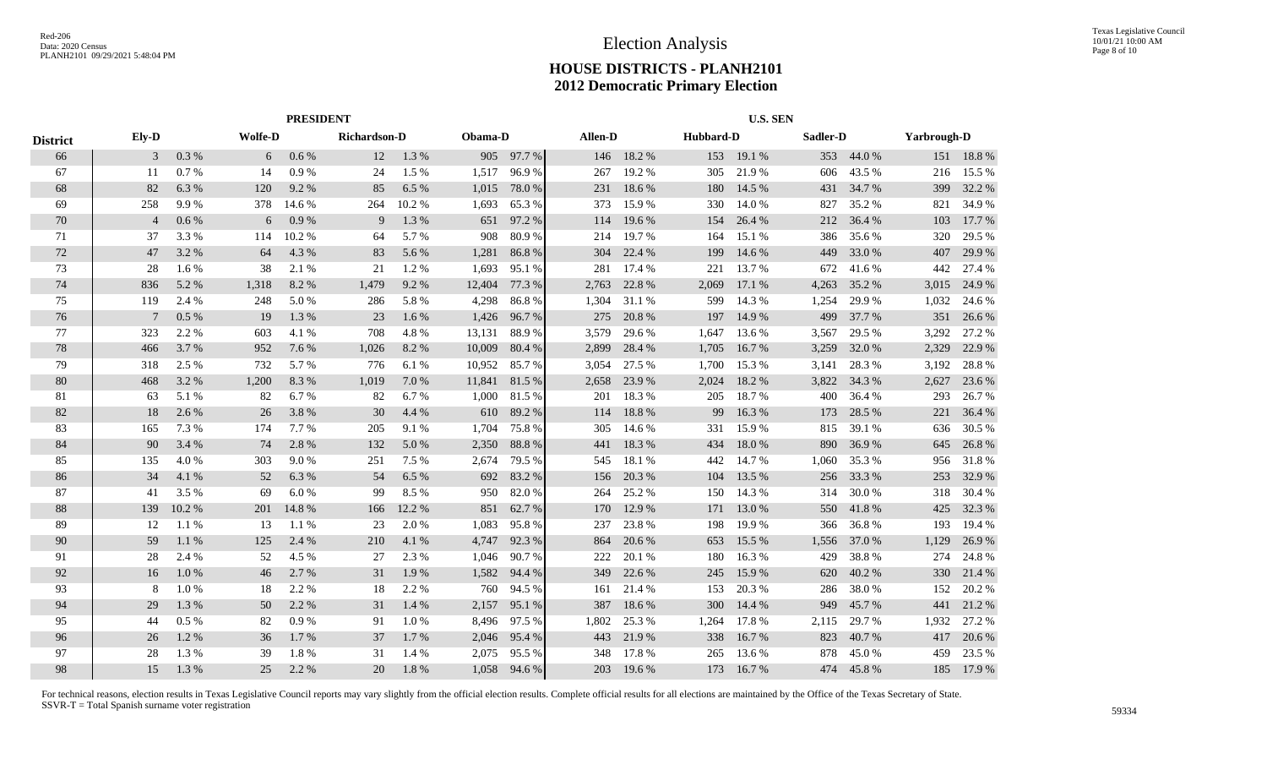|                 | <b>PRESIDENT</b> |       |                |         |              |         |         |        | <b>U.S. SEN</b> |        |           |        |       |            |       |             |  |
|-----------------|------------------|-------|----------------|---------|--------------|---------|---------|--------|-----------------|--------|-----------|--------|-------|------------|-------|-------------|--|
| <b>District</b> | Ely-D            |       | <b>Wolfe-D</b> |         | Richardson-D |         | Obama-D |        | Allen-D         |        | Hubbard-D |        |       | Sadler-D   |       | Yarbrough-D |  |
| 66              | 3                | 0.3 % | 6              | $0.6\%$ | 12           | 1.3 %   | 905     | 97.7%  | 146             | 18.2 % | 153       | 19.1 % |       | 353 44.0 % |       | 151 18.8 %  |  |
| 67              | 11               | 0.7%  | 14             | 0.9%    | 24           | 1.5 %   | 1,517   | 96.9%  | 267             | 19.2 % | 305       | 21.9%  | 606   | 43.5 %     | 216   | 15.5 %      |  |
| 68              | 82               | 6.3%  | 120            | 9.2 %   | 85           | 6.5 %   | 1,015   | 78.0%  | 231             | 18.6 % | 180       | 14.5 % | 431   | 34.7 %     | 399   | 32.2 %      |  |
| 69              | 258              | 9.9%  | 378            | 14.6 %  | 264          | 10.2 %  | 1,693   | 65.3%  | 373             | 15.9%  | 330       | 14.0 % | 827   | 35.2 %     | 821   | 34.9%       |  |
| 70              | $\overline{4}$   | 0.6%  | 6              | 0.9%    | 9            | 1.3%    | 651     | 97.2%  | 114             | 19.6 % | 154       | 26.4 % | 212   | 36.4 %     | 103   | 17.7 %      |  |
| 71              | 37               | 3.3 % | 114            | 10.2%   | 64           | 5.7 %   | 908     | 80.9%  | 214             | 19.7%  | 164       | 15.1 % | 386   | 35.6 %     | 320   | 29.5 %      |  |
| $72\,$          | 47               | 3.2%  | 64             | 4.3 %   | 83           | 5.6 %   | 1,281   | 86.8%  | 304             | 22.4 % | 199       | 14.6 % | 449   | 33.0%      | 407   | 29.9%       |  |
| 73              | 28               | 1.6 % | 38             | 2.1 %   | 21           | 1.2%    | 1,693   | 95.1 % | 281             | 17.4 % | 221       | 13.7 % | 672   | 41.6 %     | 442   | 27.4 %      |  |
| 74              | 836              | 5.2%  | 1,318          | 8.2%    | 1,479        | 9.2%    | 12,404  | 77.3 % | 2,763           | 22.8%  | 2,069     | 17.1 % | 4,263 | 35.2 %     | 3,015 | 24.9%       |  |
| 75              | 119              | 2.4 % | 248            | 5.0%    | 286          | 5.8%    | 4,298   | 86.8%  | 1,304           | 31.1%  | 599       | 14.3 % | 1,254 | 29.9%      | 1,032 | 24.6 %      |  |
| 76              | -7               | 0.5%  | 19             | 1.3 %   | 23           | $1.6\%$ | 1,426   | 96.7%  | 275             | 20.8%  | 197       | 14.9 % | 499   | 37.7 %     | 351   | 26.6 %      |  |
| 77              | 323              | 2.2 % | 603            | 4.1 %   | 708          | 4.8%    | 13,131  | 88.9%  | 3,579           | 29.6 % | 1,647     | 13.6 % | 3,567 | 29.5 %     | 3,292 | 27.2 %      |  |
| 78              | 466              | 3.7%  | 952            | 7.6 %   | 1,026        | 8.2%    | 10,009  | 80.4%  | 2,899           | 28.4 % | 1,705     | 16.7%  | 3,259 | 32.0 %     | 2,329 | 22.9 %      |  |
| 79              | 318              | 2.5 % | 732            | 5.7 %   | 776          | 6.1%    | 10,952  | 85.7%  | 3,054           | 27.5 % | 1,700     | 15.3 % | 3,141 | 28.3 %     | 3,192 | 28.8%       |  |
| 80              | 468              | 3.2 % | 1,200          | 8.3 %   | 1,019        | 7.0%    | 11,841  | 81.5%  | 2,658           | 23.9 % | 2,024     | 18.2 % | 3,822 | 34.3 %     | 2,627 | 23.6 %      |  |
| 81              | 63               | 5.1 % | 82             | 6.7 %   | 82           | 6.7%    | 1,000   | 81.5 % | 201             | 18.3%  | 205       | 18.7%  | 400   | 36.4 %     | 293   | 26.7 %      |  |
| 82              | 18               | 2.6 % | 26             | 3.8%    | 30           | 4.4 %   | 610     | 89.2%  | 114             | 18.8%  | 99        | 16.3%  | 173   | 28.5 %     | 221   | 36.4 %      |  |
| 83              | 165              | 7.3 % | 174            | 7.7 %   | 205          | 9.1 %   | 1,704   | 75.8%  | 305             | 14.6 % | 331       | 15.9%  | 815   | 39.1 %     | 636   | 30.5 %      |  |
| 84              | 90               | 3.4 % | 74             | 2.8%    | 132          | 5.0%    | 2,350   | 88.8%  | 441             | 18.3%  | 434       | 18.0%  | 890   | 36.9%      | 645   | 26.8%       |  |
| 85              | 135              | 4.0%  | 303            | 9.0%    | 251          | 7.5 %   | 2,674   | 79.5 % | 545             | 18.1 % | 442       | 14.7 % | 1,060 | 35.3 %     | 956   | 31.8%       |  |
| 86              | 34               | 4.1 % | 52             | 6.3%    | 54           | 6.5 %   | 692     | 83.2%  | 156             | 20.3 % | 104       | 13.5 % | 256   | 33.3 %     | 253   | 32.9%       |  |
| 87              | 41               | 3.5%  | 69             | 6.0%    | 99           | 8.5%    | 950     | 82.0%  | 264             | 25.2 % | 150       | 14.3 % | 314   | 30.0%      | 318   | 30.4 %      |  |
| 88              | 139              | 10.2% | 201            | 14.8%   | 166          | 12.2 %  | 851     | 62.7 % | 170             | 12.9 % | 171       | 13.0 % | 550   | 41.8%      | 425   | 32.3 %      |  |
| 89              | 12               | 1.1 % | 13             | 1.1 %   | 23           | 2.0 %   | 1,083   | 95.8%  | 237             | 23.8%  | 198       | 19.9%  | 366   | 36.8%      | 193   | 19.4 %      |  |
| 90              | 59               | 1.1 % | 125            | 2.4 %   | 210          | 4.1 %   | 4,747   | 92.3 % | 864             | 20.6 % | 653       | 15.5 % | 1,556 | 37.0 %     | 1,129 | 26.9%       |  |
| 91              | 28               | 2.4 % | 52             | 4.5 %   | 27           | 2.3 %   | 1,046   | 90.7%  | 222             | 20.1 % | 180       | 16.3%  | 429   | 38.8%      | 274   | 24.8%       |  |
| 92              | 16               | 1.0%  | 46             | 2.7 %   | 31           | 1.9%    | 1,582   | 94.4 % | 349             | 22.6 % | 245       | 15.9%  | 620   | 40.2%      | 330   | 21.4 %      |  |
| 93              | 8                | 1.0%  | 18             | 2.2 %   | 18           | 2.2 %   | 760     | 94.5 % | 161             | 21.4 % | 153       | 20.3 % | 286   | 38.0%      | 152   | 20.2 %      |  |
| 94              | 29               | 1.3%  | 50             | 2.2 %   | 31           | 1.4 %   | 2,157   | 95.1 % | 387             | 18.6%  | 300       | 14.4 % | 949   | 45.7%      | 441   | 21.2%       |  |
| 95              | 44               | 0.5%  | 82             | 0.9%    | 91           | 1.0%    | 8,496   | 97.5 % | 1,802           | 25.3 % | 1,264     | 17.8%  | 2,115 | 29.7 %     | 1,932 | 27.2 %      |  |
| 96              | 26               | 1.2%  | 36             | 1.7 %   | 37           | 1.7%    | 2,046   | 95.4%  | 443             | 21.9%  | 338       | 16.7 % | 823   | 40.7%      | 417   | 20.6 %      |  |
| 97              | 28               | 1.3%  | 39             | 1.8%    | 31           | 1.4 %   | 2,075   | 95.5%  | 348             | 17.8%  | 265       | 13.6 % | 878   | 45.0%      | 459   | 23.5 %      |  |
| 98              | 15               | 1.3%  | 25             | 2.2 %   | 20           | 1.8%    | 1,058   | 94.6 % | 203             | 19.6 % | 173       | 16.7 % | 474   | 45.8%      |       | 185 17.9 %  |  |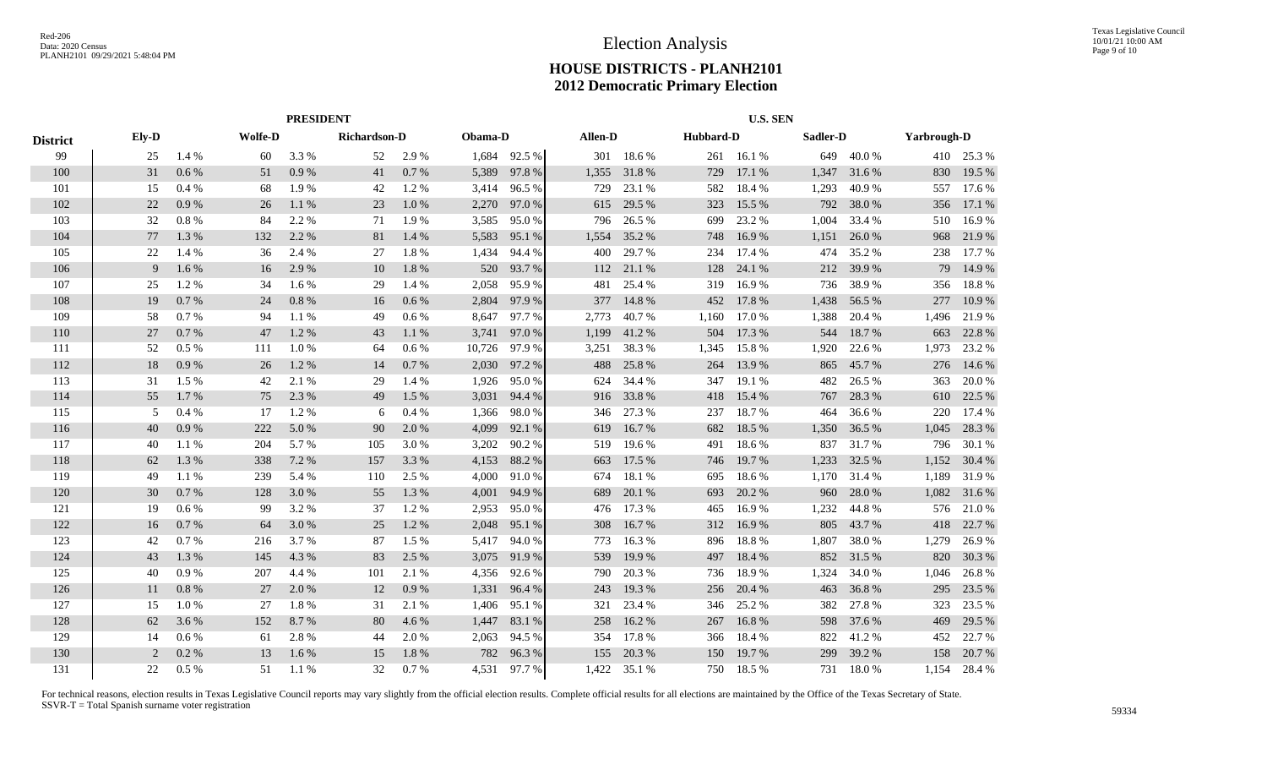|                 | <b>PRESIDENT</b> |         |                |       |                     |       |         |        | <b>U.S. SEN</b> |        |           |        |          |        |                    |            |
|-----------------|------------------|---------|----------------|-------|---------------------|-------|---------|--------|-----------------|--------|-----------|--------|----------|--------|--------------------|------------|
| <b>District</b> | Ely-D            |         | <b>Wolfe-D</b> |       | <b>Richardson-D</b> |       | Obama-D |        | Allen-D         |        | Hubbard-D |        | Sadler-D |        | <b>Yarbrough-D</b> |            |
| 99              | 25               | 1.4 %   | 60             | 3.3 % | 52                  | 2.9 % | 1,684   | 92.5 % | 301             | 18.6 % | 261       | 16.1 % | 649      | 40.0%  |                    | 410 25.3 % |
| 100             | 31               | 0.6 %   | 51             | 0.9%  | 41                  | 0.7 % | 5,389   | 97.8%  | 1,355           | 31.8%  | 729       | 17.1 % | 1,347    | 31.6 % | 830                | 19.5 %     |
| 101             | 15               | 0.4%    | 68             | 1.9%  | 42                  | 1.2 % | 3,414   | 96.5%  | 729             | 23.1 % | 582       | 18.4 % | 1,293    | 40.9%  | 557                | 17.6 %     |
| 102             | 22               | 0.9%    | 26             | 1.1 % | 23                  | 1.0%  | 2,270   | 97.0%  | 615             | 29.5 % | 323       | 15.5 % | 792      | 38.0%  | 356                | 17.1 %     |
| 103             | 32               | 0.8%    | 84             | 2.2 % | 71                  | 1.9%  | 3,585   | 95.0%  | 796             | 26.5 % | 699       | 23.2 % | 1,004    | 33.4 % | 510                | 16.9%      |
| 104             | 77               | 1.3%    | 132            | 2.2 % | 81                  | 1.4 % | 5,583   | 95.1 % | 1,554           | 35.2 % | 748       | 16.9%  | 1,151    | 26.0%  | 968                | 21.9%      |
| 105             | 22               | 1.4 %   | 36             | 2.4 % | 27                  | 1.8%  | 1,434   | 94.4 % | 400             | 29.7 % | 234       | 17.4 % | 474      | 35.2 % | 238                | 17.7 %     |
| 106             | 9                | 1.6 %   | 16             | 2.9 % | 10                  | 1.8%  | 520     | 93.7 % | 112             | 21.1 % | 128       | 24.1 % | 212      | 39.9 % | 79                 | 14.9 %     |
| 107             | 25               | 1.2%    | 34             | 1.6 % | 29                  | 1.4 % | 2,058   | 95.9%  | 481             | 25.4 % | 319       | 16.9%  | 736      | 38.9%  | 356                | 18.8%      |
| 108             | 19               | 0.7%    | 24             | 0.8%  | 16                  | 0.6 % | 2,804   | 97.9 % | 377             | 14.8%  | 452       | 17.8 % | 1,438    | 56.5 % | 277                | 10.9%      |
| 109             | 58               | 0.7%    | 94             | 1.1 % | 49                  | 0.6 % | 8,647   | 97.7 % | 2,773           | 40.7%  | 1,160     | 17.0 % | 1,388    | 20.4 % | 1,496              | 21.9%      |
| 110             | 27               | 0.7%    | 47             | 1.2%  | 43                  | 1.1%  | 3,741   | 97.0%  | 1,199           | 41.2%  | 504       | 17.3 % | 544      | 18.7%  | 663                | 22.8 %     |
| 111             | 52               | 0.5%    | 111            | 1.0%  | 64                  | 0.6 % | 10,726  | 97.9%  | 3,251           | 38.3%  | 1,345     | 15.8%  | 1,920    | 22.6 % | 1,973              | 23.2 %     |
| 112             | 18               | 0.9%    | 26             | 1.2%  | 14                  | 0.7 % | 2,030   | 97.2 % | 488             | 25.8%  | 264       | 13.9 % | 865      | 45.7%  | 276                | 14.6 %     |
| 113             | 31               | 1.5 %   | 42             | 2.1 % | 29                  | 1.4 % | 1,926   | 95.0%  | 624             | 34.4 % | 347       | 19.1 % | 482      | 26.5 % | 363                | 20.0%      |
| 114             | 55               | 1.7%    | 75             | 2.3 % | 49                  | 1.5 % | 3,031   | 94.4 % | 916             | 33.8%  | 418       | 15.4 % | 767      | 28.3 % | 610                | 22.5 %     |
| 115             | 5                | 0.4%    | 17             | 1.2%  | 6                   | 0.4 % | 1,366   | 98.0%  | 346             | 27.3 % | 237       | 18.7%  | 464      | 36.6%  | 220                | 17.4 %     |
| 116             | 40               | 0.9%    | 222            | 5.0%  | 90                  | 2.0 % | 4,099   | 92.1 % | 619             | 16.7%  | 682       | 18.5 % | 1,350    | 36.5 % | 1,045              | 28.3 %     |
| 117             | 40               | 1.1 %   | 204            | 5.7 % | 105                 | 3.0%  | 3,202   | 90.2 % | 519             | 19.6 % | 491       | 18.6%  | 837      | 31.7 % | 796                | 30.1 %     |
| 118             | 62               | 1.3%    | 338            | 7.2 % | 157                 | 3.3 % | 4,153   | 88.2%  | 663             | 17.5 % | 746       | 19.7 % | 1,233    | 32.5 % | 1,152              | 30.4 %     |
| 119             | 49               | 1.1 %   | 239            | 5.4 % | 110                 | 2.5 % | 4,000   | 91.0%  | 674             | 18.1%  | 695       | 18.6%  | 1,170    | 31.4 % | 1,189              | 31.9%      |
| 120             | 30               | 0.7%    | 128            | 3.0%  | 55                  | 1.3 % | 4,001   | 94.9%  | 689             | 20.1 % | 693       | 20.2 % | 960      | 28.0%  | 1,082              | 31.6%      |
| 121             | 19               | 0.6%    | 99             | 3.2 % | 37                  | 1.2%  | 2,953   | 95.0%  | 476             | 17.3 % | 465       | 16.9%  | 1,232    | 44.8%  | 576                | 21.0%      |
| 122             | 16               | 0.7%    | 64             | 3.0%  | 25                  | 1.2%  | 2,048   | 95.1 % | 308             | 16.7%  | 312       | 16.9%  | 805      | 43.7 % | 418                | 22.7 %     |
| 123             | 42               | 0.7%    | 216            | 3.7%  | 87                  | 1.5 % | 5,417   | 94.0%  | 773             | 16.3%  | 896       | 18.8%  | 1,807    | 38.0%  | 1,279              | 26.9%      |
| 124             | 43               | 1.3%    | 145            | 4.3 % | 83                  | 2.5 % | 3,075   | 91.9%  | 539             | 19.9%  | 497       | 18.4 % | 852      | 31.5 % | 820                | 30.3 %     |
| 125             | 40               | 0.9%    | 207            | 4.4 % | 101                 | 2.1 % | 4,356   | 92.6 % | 790             | 20.3%  | 736       | 18.9%  | 1,324    | 34.0 % | 1,046              | 26.8%      |
| 126             | 11               | 0.8%    | 27             | 2.0%  | 12                  | 0.9%  | 1,331   | 96.4%  | 243             | 19.3 % | 256       | 20.4 % | 463      | 36.8%  | 295                | 23.5 %     |
| 127             | 15               | 1.0%    | 27             | 1.8%  | 31                  | 2.1 % | 1,406   | 95.1 % | 321             | 23.4 % | 346       | 25.2 % | 382      | 27.8%  | 323                | 23.5 %     |
| 128             | 62               | 3.6 %   | 152            | 8.7%  | 80                  | 4.6 % | 1,447   | 83.1 % | 258             | 16.2%  | 267       | 16.8%  | 598      | 37.6 % | 469                | 29.5 %     |
| 129             | 14               | 0.6%    | 61             | 2.8%  | 44                  | 2.0%  | 2,063   | 94.5 % | 354             | 17.8%  | 366       | 18.4 % | 822      | 41.2%  | 452                | 22.7 %     |
| 130             | 2                | 0.2%    | 13             | 1.6%  | 15                  | 1.8%  | 782     | 96.3%  | 155             | 20.3 % | 150       | 19.7 % | 299      | 39.2 % | 158                | 20.7 %     |
| 131             | 22               | $0.5\%$ | 51             | 1.1 % | 32                  | 0.7%  | 4.531   | 97.7%  | 1,422           | 35.1 % | 750       | 18.5 % | 731      | 18.0%  | 1.154              | 28.4 %     |